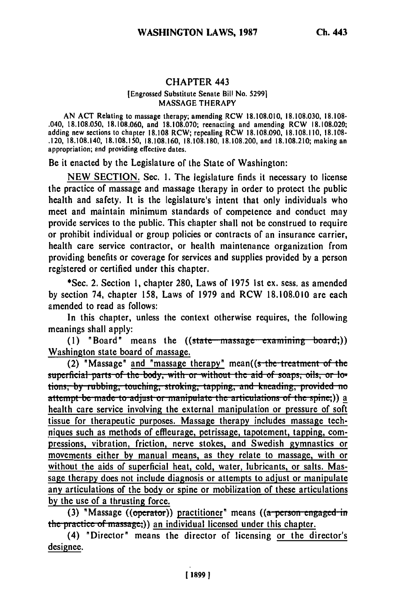## **CHAPTER** 443

## [Engrossed Substitute Senate Bill No. **52991 MASSAGE** THERAPY

**AN ACT** Relating to massage therapy; amending RCW **18.108.010, 18.108.030, 18.108-** .040, **18.108.050, 18.108.060,** and **18.108.070;** reenacting and amending RCW **18.108.020;** adding new sections to chapter **18.108** RCW; repealing RCW **18.108.090, 18.108.110, 18.108-** .120, **18.108.140, 18.108.150, 18.108.160, 18.108.180, 18.108.200,** and **18.108.210;** making an appropriation; and providing effective dates.

Be it enacted **by** the Legislature of the State of Washington:

**NEW SECTION.** Sec. **1.** The legislature finds it necessary to license the practice of massage and massage therapy in order to protect the public health and safety. It is the legislature's intent that only individuals who meet and maintain minimum standards of competence and conduct may provide services to the public. This chapter shall not be construed to require or prohibit individual or group policies or contracts of an insurance carrier, health care service contractor, or health maintenance organization from providing benefits or coverage for services and supplies provided **by** a person registered or certified under this chapter.

\*Sec. 2. Section **1,** chapter **280,** Laws of **1975 1st** ex. sess. as amended **by** section 74, chapter **158,** Laws of **1979** and RCW **18.108.010** are each amended to read as follows:

In this chapter, unless the context otherwise requires, the following meanings shall apply:

(1) **"Board"** means the ((state massage examining board;)) Washington state board of massage.

(2) "Massage" and "massage therapy" mean((s-the treatment of the superficial parts of the body, with or without the aid of soaps, oils, or lotions, by rubbing, touching, stroking, tapping, and kneading, provided no<br>attempt be made to adjust or manipulate the articulations of the spine;)) a health care service involving the external manipulation or pressure of soft tissue for therapeutic purposes. Massage therapy includes massage techniques such as methods of effleurage, petrissage, tapotement, tapping, compressions, vibration, friction, nerve stokes, and Swedish gymnastics or movements either **by** manual means, as they relate to massage, with or without the aids of superficial heat, cold, water, lubricants, or salts. Massage therapy does not include diagnosis or attempts to adjust or manipulate any articulations of the body or spine or mobilization of these articulations **by** the use of a thrusting force.

**(3) 'Massage** ((operator)) practitioner' means ((a person engaged in the practice of massage;)) an individual licensed under this chapter.

(4) 'Director' means the director of licensing or the director's designee.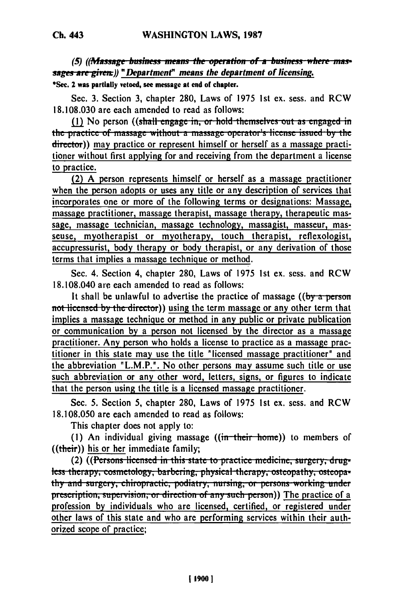(5) ((*Massage business means the operation of a business where massages are given*;)) "Department" means the department of licensing.

**\*Sec. 2 was partially vetoed, see message at end of chapter.**

Sec. 3. Section **3,** chapter **280,** Laws of 1975 1st ex. sess. and RCW 18.108.030 are each amended to read as follows:

(1) No person ((shall engage in, or hold themselves out as engaged in the practice **of** niasfag **-** - t1L- a massage operator **'s** license i..u **by** t.. director)) may practice or represent himself or herself as a massage practitioner without first applying for and receiving from the department a license to practice.

(2) A person represents himself or herself as a massage practitioner when the person adopts or uses any title or any description of services that incorporates one or more of the following terms or designations: Massage, massage practitioner, massage therapist, massage therapy, therapeutic massage, massage technician, massage technology, massagist, masseur, masseuse, myotherapist or myotherapy, touch therapist, reflexologist, accupressurist, body therapy or body therapist, or any derivation of those terms that implies a massage technique or method.

Sec. 4. Section 4, chapter 280, Laws of 1975 1st ex. sess. and RCW 18.108.040 are each amended to read as follows:

It shall be unlawful to advertise the practice of massage ((by a person **not licensed by the director)) using the term massage or any other term that** implies a massage technique or method in any public or private publication or communication by a person not licensed by the director as a massage practitioner. Any person who holds a license to practice as a massage practitioner in this state may use the title "licensed massage practitioner" and the abbreviation "L.M.P.". No other persons may assume such title or use such abbreviation or any other word, letters, signs, or figures to indicate that the person using the title is a licensed massage practitioner.

Sec. 5. Section 5, chapter 280, Laws of 1975 1st ex. sess. and RCW 18.108.050 are each amended to read as follows:

This chapter does not apply to:

(1) An individual giving massage ((in their home)) to members of ((their)) his or her immediate family;

(2) ((Persons licensed in this state to practice medicine, surgery, drugtess therapy, cosmetology, barbering, physical therapy, osteopathy, osteopathy and surgery, chiropractic, podiatry, nursing, or persons working under **prescription, supervision, or direction of any such person)) The practice of a** profession **by** individuals who are licensed, certified, or registered under other laws of this state and who are performing services within their authorized scope of practice;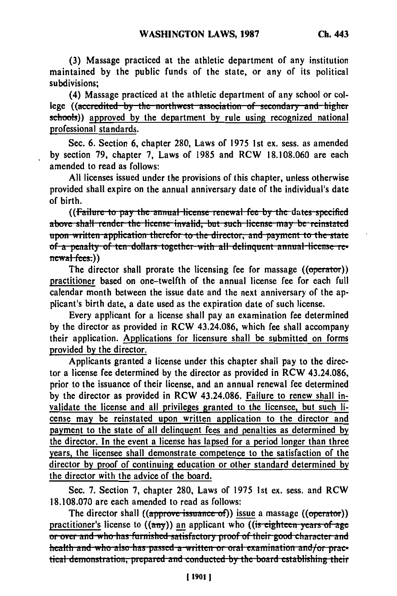**(3)** Massage practiced at the athletic department of any institution maintained **by** the public funds of the state, or any of its political subdivisions;

(4) Massage practiced at the athletic department of any school or college ((accredited by the northwest association of secondary and higher schools)) approved **by** the department **by** rule using recognized national professional standards.

Sec. **6.** Section **6,** chapter **280,** Laws of **1975 1st ex.** sess. as amended **by** section **79,** chapter **7,** Laws of **1985** and RCW **18.108.060** are each amended to read as follows:

**All** licenses issued under the provisions of this chapter, unless otherwise provided shall expire on the annual anniversary date of the individual's date of birth.

((Failure to pay the annual license renewal fee by the dates specified above shall render the license invalid, but such license may be reinstated upon written application therefor to the director, and payment to the state. **of a penalty of ten dollars together with all delinquent annual license re** $newal-fees.)$ 

The director shall prorate the licensing fee for massage ((operator)) practitioner based on one-twelfth of the annual license fee for each full calendar month between the issue date and the next anniversary of the applicant's birth date, a date used as the expiration date of such license.

Every applicant for a license shall pay an examination fee determined **by** the director as provided in RCW 43.24.086, which fee shall accompany their application. Applications for licensure shall be submitted on forms provided **by** the director.

Applicants granted a license under this chapter shall pay to the director a license fee determined **by** the director as provided in RCW 43.24.086, prior to the issuance of their license, and an annual renewal fee determined **by** the director as provided in RCW 43.24.086. Failure to renew shall invalidate the license and all privileges granted to the licensee, but such license may be reinstated upon written application to the director and payment to the state of all delinquent fees and penalties as determined **by** the director. In the event a license has lapsed for a period longer than three years, the licensee shall demonstrate competence to the satisfaction of the director **by** proof of continuing education or other standard determined **by** the director with the advice of the board.

Sec. **7.** Section **7,** chapter **280,** Laws of **1975 Ist** ex. sess. and RCW **18.108.070** are each amended to read as follows:

The director shall ((approve issuance of)) issue a massage ((operator)) practitioner's license to **((any))** an applicant who **((is eighteen years of age**) **01 over and who has furnished satisfactory proof of their good character and** health and who also has passed a written or oral examination and/or prac**tical demonstration, prepared and conducted by the board establishing their**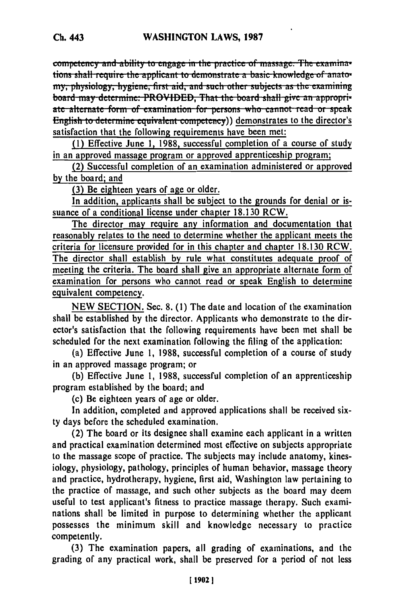competency and ability to engage in the practice of massage. The examinations shall require the applicant to demonstrate a basic knowledge of anatomy, physiology, hygiene, first aid, and such other subjects as the examining board may determine: PROVIDED, That the board shall give an appropriate alternate form of examination for persons who cannot read or speak English to determine equivalent competency)) demonstrates to the director's satisfaction that the following requirements have been met:

**(1)** Effective June **1, 1988,** successful completion of a course of study in an approved massage program or approved apprenticeship program;

(2) Successful completion of an examination administered or approved **by** the board; and

**(3)** Be eighteen years of age or older.

In addition, applicants shall be subject to the grounds for denial or issuance of a conditional license under chapter **18.130** RCW.

The director may require any information and documentation that reasonably relates to the need to determine whether the applicant meets the criteria for licensure provided for in this chapter and chapter **18.130 RCW.** The director shall establish **by** rule what constitutes adequate proof of meeting the criteria. The board shall give an appropriate alternate form of examination for persons who cannot read or speak English to determine equivalent competency.

**NEW SECTION.** Sec. **8. (1)** The date and location of the examination shall be established **by** the director. Applicants who demonstrate to the director's satisfaction that the following requirements have been met shall be scheduled for the next examination following the filing of the application:

(a) Effective June **1, 1988,** successful completion of a course of study in an approved massage program; or

**(b)** Effective June **1, 1988,** successful completion of an apprenticeship program established **by** the board; and

(c) Be eighteen years of age or older.

In addition, completed and approved applications shall be received sixty days before the scheduled examination.

(2) The board or its designee shall examine each applicant in a written and practical examination determined most effective on subjects appropriate to the massage scope of practice. The subjects may include anatomy, kinesiology, physiology, pathology, principles of human behavior, massage theory and practice, hydrotherapy, hygiene, first aid, Washington law pertaining to the practice of massage, and such other subjects as the board may deem useful to test applicant's fitness to practice massage therapy. Such examinations shall be limited in purpose to determining whether the applicant possesses the minimum skill and knowledge necessary to practice competently.

**(3)** The examination papers, all grading of examinations, and the grading of any practical work, shall be preserved for a period of not less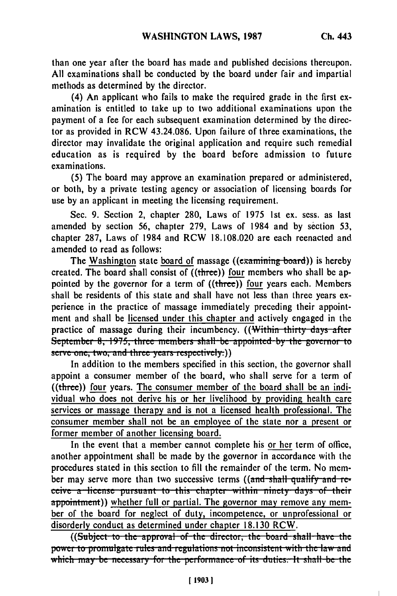than one year after the board has made and published decisions thereupon. All examinations shall be conducted **by** the board under fair and impartial methods as determined **by** the director.

(4) An applicant who fails to make the required grade in the first examination is entitled to take up to two additional examinations upon the payment of a fee for each subsequent examination determined **by** the director as provided in RCW 43.24.086. Upon failure of three examinations, the director may invalidate the original application and require such remedial education as is required **by** the board before admission to future examinations.

(5) The board may approve an examination prepared or administered, or both, **by** a private testing agency or association of licensing boards for use **by** an applicant in meeting the licensing requirement.

Sec. 9. Section 2, chapter 280, Laws of 1975 1st ex. sess. as last amended **by** section **56,** chapter 279, Laws of 1984 and **by** section **53,** chapter **287,** Laws of 1984 and RCW 18.108.020 are each reenacted and amended to read as follows:

The Washington state board of massage ( $(examining board)$ ) is hereby created. The board shall consist of ((three)) four members who shall be appointed by the governor for a term of ((three)) four years each. Members shall be residents of this state and shall have not less than three years experience in the practice of massage immediately preceding their appointment and shall be licensed under this chapter and actively engaged in the practice of massage during their incumbency. ((Within thirty days after September 8, 1975, three members shall be appointed by the gove serve one, two, and three years respectively.)<br>In addition to the members specified in this section, the governor shall

appoint a consumer member of the board, who shall serve for a term of ((three)) four years. The consumer member of the board shall **be** an individual who does not derive his or her livelihood **by** providing health care services or massage therapy and is not a licensed health professional. The consumer member shall not be an employee of the state nor a present or former member of another licensing board.

In the event that a member cannot complete his or her term of office, another appointment shall be made **by** the governor in accordance with the procedures stated in this section to **fill** the remainder of the term. No member may serve more than two successive terms ((and shall qualify and receive a license pursuant to this chapter within ninety days of their appointment)) whether full or partial. The governor may remove any member of the board for neglect of duty, incompetence, or unprofessional or disorderly conduct as determined under chapter 18.130 RCW.

((Subject to the approval of the director, the board shall have the **power to promulgate rules and regulations not inconsistent with the law and** which may be necessary for the performance of its duties. It shall be the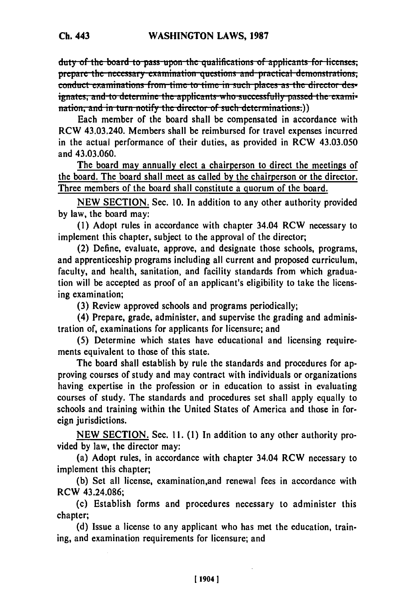**duty of the board to pass upon the qualifications of applicants for licenses; prepare the necessary examination questions and practical demonstrations,** conduct examinations from time to time in such places as the director des**ignates, and to determine the applicants who successfully passed the exami**nation, and in turn notify the director of such determinations.))

Each member of the board shall be compensated in accordance with RCW 43.03.240. Members shall be reimbursed for travel expenses incurred in the actual performance of their duties, as provided in RCW 43.03.050 and 43.03.060.

The board may annually elect a chairperson to direct the meetings of the board. The board shall meet as called by the chairperson or the director. Three members of the board shall constitute a quorum of the board.

NEW SECTION. Sec. **10.** In addition to any other authority provided by law, the board may:

(1) Adopt rules in accordance with chapter 34.04 RCW necessary to implement this chapter, subject to the approval of the director;

(2) Define, evaluate, approve, and designate those schools, programs, and apprenticeship programs including all current and proposed curriculum, faculty, and health, sanitation, and facility standards from which graduation will be accepted as proof of an applicant's eligibility to take the licensing examination;

(3) Review approved schools and programs periodically;

(4) Prepare, grade, administer, and supervise the grading and administration of, examinations for applicants for licensure; and

(5) Determine which states have educational and licensing requirements equivalent to those of this state.

The board shall establish **by** rule the standards and procedures for approving courses of study and may contract with individuals or organizations having expertise in the profession or in education to assist in evaluating courses of study. The standards and procedures set shall apply equally to schools and training within the United States of America and those in foreign jurisdictions.

**NEW** SECTION. Sec. **1I.** (1) In addition to any other authority provided **by** law, the director may:

(a) Adopt rules, in accordance with chapter 34.04 RCW necessary to implement this chapter;

**(b)** Set all license, examination,and renewal fees in accordance with RCW 43.24.086;

(c) Establish forms and procedures necessary to administer this chapter;

**(d)** Issue a license to any applicant who has met the education, training, and examination requirements for licensure; and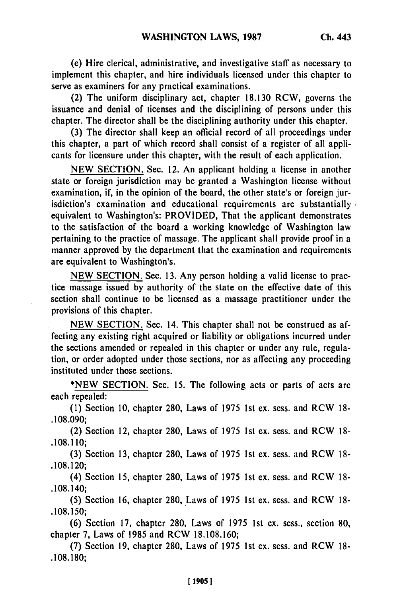(e) Hire clerical, administrative, and investigative staff as necessary to implement this chapter, and hire individuals licensed under this chapter to serve as examiners for any practical examinations.

(2) The uniform disciplinary act, chapter **18.130** RCW, governs the issuance and denial of licenses and the disciplining of persons under this chapter. The director shall be the disciplining authority under this chapter.

**(3)** The director shall keep an official record of all proceedings under this chapter, a part of which record shall consist of a register of all applicants for licensure under this chapter, with the result of each application.

**NEW** SECTION. Sec. 12. An applicant holding a license in another state or foreign jurisdiction may be granted a Washington license without examination, if, in the opinion of the board, the other state's or foreign jurisdiction's examination and educational requirements are substantially. equivalent to Washington's: PROVIDED, That the applicant demonstrates to the satisfaction of the board a working knowledge of Washington law pertaining to the practice of massage. The applicant shall provide proof in a manner approved **by** the department that the examination and requirements are equivalent to Washington's.

**NEW** SECTION. Sec. **13.** Any person holding a valid license to practice massage issued **by** authority of the state on the effective date of this section shall continue to be licensed as a massage practitioner under the provisions of this chapter.

**NEW** SECTION. Sec. 14. This chapter shall not be construed as affecting any existing right acquired or liability or obligations incurred under the sections amended or repealed in this chapter or under any rule, regulation, or order adopted under those sections, nor as affecting any proceeding instituted under those sections.

**\*NEW** SECTION. See. **15.** The following acts or parts of acts are each repealed:

**(1)** Section **10,** chapter 280, Laws of **1975 1st** ex. sess. and RCW **18-** .108.090;

(2) Section 12, chapter 280, Laws of **1975** 1 st ex. sess. and RCW **18- .108.110;**

**(3)** Section 13, chapter 280, Laws of 1975 1st ex. sess. and RCW **18-** .108.120;

(4) Section 15, chapter 280, Laws of 1975 1st ex. sess. and RCW 18- .108.140;

(5) Section 16, chapter 280, Laws of 1975 1st ex. sess. and RCW 18- .108.150;

(6) Section 17, chapter 280, Laws of 1975 1st ex. sess., section 80, chapter 7, Laws of 1985 and RCW 18.108.160;

**(7)** Section 19, chapter 280, Laws of 1975 1st ex. sess. and RCW 18- .108.180;